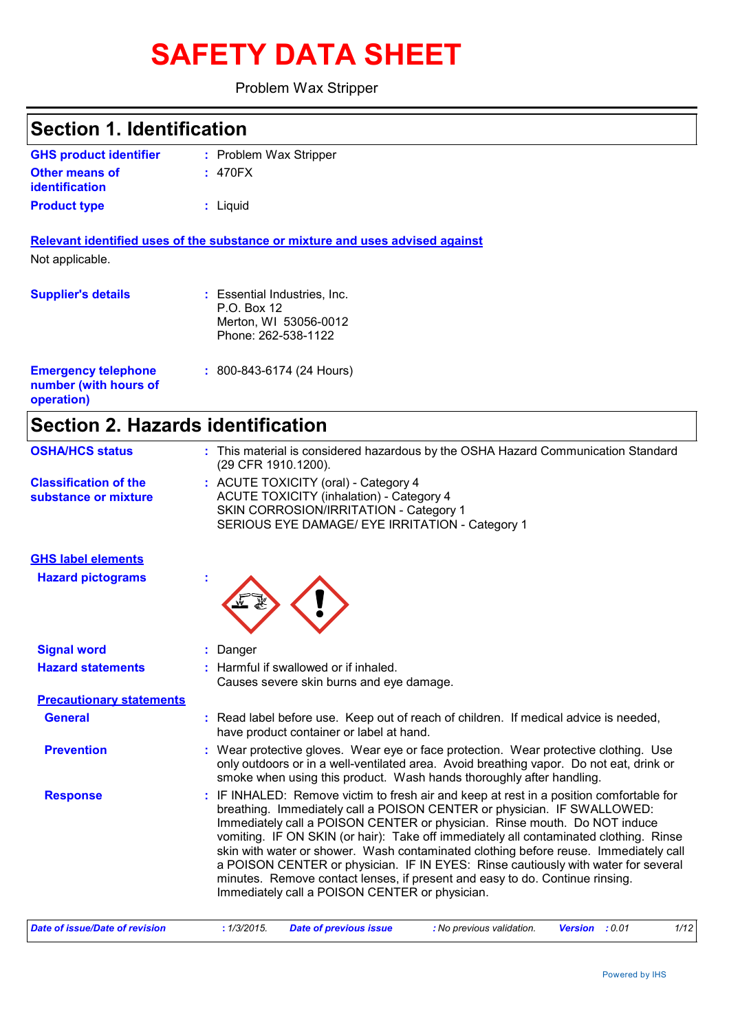# **SAFETY DATA SHEET**

#### Problem Wax Stripper

| <b>Section 1. Identification</b>                                  |                                                                                                                                                                                                                                                                                                                                                                                                                                                                                                                       |
|-------------------------------------------------------------------|-----------------------------------------------------------------------------------------------------------------------------------------------------------------------------------------------------------------------------------------------------------------------------------------------------------------------------------------------------------------------------------------------------------------------------------------------------------------------------------------------------------------------|
| <b>GHS product identifier</b>                                     | : Problem Wax Stripper                                                                                                                                                                                                                                                                                                                                                                                                                                                                                                |
| <b>Other means of</b><br>identification                           | : 470FX                                                                                                                                                                                                                                                                                                                                                                                                                                                                                                               |
| <b>Product type</b>                                               | : Liquid                                                                                                                                                                                                                                                                                                                                                                                                                                                                                                              |
|                                                                   | Relevant identified uses of the substance or mixture and uses advised against                                                                                                                                                                                                                                                                                                                                                                                                                                         |
| Not applicable.                                                   |                                                                                                                                                                                                                                                                                                                                                                                                                                                                                                                       |
| <b>Supplier's details</b>                                         | : Essential Industries, Inc.<br>P.O. Box 12<br>Merton, WI 53056-0012<br>Phone: 262-538-1122                                                                                                                                                                                                                                                                                                                                                                                                                           |
| <b>Emergency telephone</b><br>number (with hours of<br>operation) | $: 800 - 843 - 6174 (24$ Hours)                                                                                                                                                                                                                                                                                                                                                                                                                                                                                       |
|                                                                   | <b>Section 2. Hazards identification</b>                                                                                                                                                                                                                                                                                                                                                                                                                                                                              |
| <b>OSHA/HCS status</b>                                            | : This material is considered hazardous by the OSHA Hazard Communication Standard<br>(29 CFR 1910.1200).                                                                                                                                                                                                                                                                                                                                                                                                              |
| <b>Classification of the</b><br>substance or mixture              | : ACUTE TOXICITY (oral) - Category 4<br><b>ACUTE TOXICITY (inhalation) - Category 4</b><br>SKIN CORROSION/IRRITATION - Category 1<br>SERIOUS EYE DAMAGE/ EYE IRRITATION - Category 1                                                                                                                                                                                                                                                                                                                                  |
| <b>GHS label elements</b>                                         |                                                                                                                                                                                                                                                                                                                                                                                                                                                                                                                       |
| <b>Hazard pictograms</b>                                          |                                                                                                                                                                                                                                                                                                                                                                                                                                                                                                                       |
| <b>Signal word</b>                                                | : Danger                                                                                                                                                                                                                                                                                                                                                                                                                                                                                                              |
| <b>Hazard statements</b>                                          | : Harmful if swallowed or if inhaled.<br>Causes severe skin burns and eye damage.                                                                                                                                                                                                                                                                                                                                                                                                                                     |
| <b>Precautionary statements</b>                                   |                                                                                                                                                                                                                                                                                                                                                                                                                                                                                                                       |
| <b>General</b>                                                    | : Read label before use. Keep out of reach of children. If medical advice is needed,<br>have product container or label at hand.                                                                                                                                                                                                                                                                                                                                                                                      |
| <b>Prevention</b>                                                 | : Wear protective gloves. Wear eye or face protection. Wear protective clothing. Use<br>only outdoors or in a well-ventilated area. Avoid breathing vapor. Do not eat, drink or<br>smoke when using this product. Wash hands thoroughly after handling.                                                                                                                                                                                                                                                               |
| <b>Response</b>                                                   | : IF INHALED: Remove victim to fresh air and keep at rest in a position comfortable for<br>breathing. Immediately call a POISON CENTER or physician. IF SWALLOWED:<br>Immediately call a POISON CENTER or physician. Rinse mouth. Do NOT induce<br>vomiting. IF ON SKIN (or hair): Take off immediately all contaminated clothing. Rinse<br>skin with water or shower. Wash contaminated clothing before reuse. Immediately call<br>a POISON CENTER or physician. IF IN EYES: Rinse cautiously with water for several |

Immediately call a POISON CENTER or physician.

minutes. Remove contact lenses, if present and easy to do. Continue rinsing.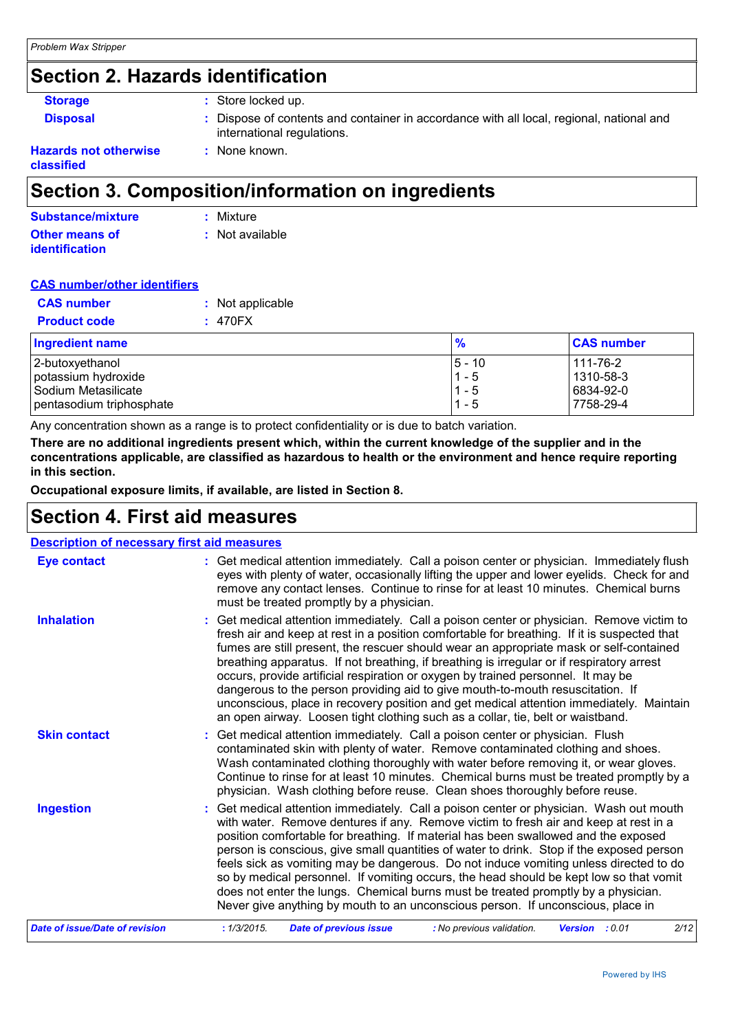## **Section 2. Hazards identification**

| <b>Storage</b>               | : Store locked up.                                                                                                     |
|------------------------------|------------------------------------------------------------------------------------------------------------------------|
| <b>Disposal</b>              | : Dispose of contents and container in accordance with all local, regional, national and<br>international regulations. |
| <b>Hazards not otherwise</b> | : None known.                                                                                                          |

**Hazards not otherwise classified**

### **Section 3. Composition/information on ingredients**

| Substance/mixture     | : Mixture         |
|-----------------------|-------------------|
| Other means of        | $:$ Not available |
| <b>identification</b> |                   |

#### **CAS number/other identifiers**

| <b>CAS number</b>        | : Not applicable |               |                   |
|--------------------------|------------------|---------------|-------------------|
| <b>Product code</b>      | : 470FX          |               |                   |
| <b>Ingredient name</b>   |                  | $\frac{9}{6}$ | <b>CAS number</b> |
| 2-butoxyethanol          |                  | $5 - 10$      | 111-76-2          |
| potassium hydroxide      |                  | $1 - 5$       | 1310-58-3         |
| Sodium Metasilicate      |                  | $1 - 5$       | 6834-92-0         |
| pentasodium triphosphate |                  | $1 - 5$       | 7758-29-4         |

Any concentration shown as a range is to protect confidentiality or is due to batch variation.

**There are no additional ingredients present which, within the current knowledge of the supplier and in the concentrations applicable, are classified as hazardous to health or the environment and hence require reporting in this section.**

**Occupational exposure limits, if available, are listed in Section 8.**

## **Section 4. First aid measures**

| <b>Description of necessary first aid measures</b> |                                                                                                                                                                                                                                                                                                                                                                                                                                                                                                                                                                                                                                                                                                                                    |
|----------------------------------------------------|------------------------------------------------------------------------------------------------------------------------------------------------------------------------------------------------------------------------------------------------------------------------------------------------------------------------------------------------------------------------------------------------------------------------------------------------------------------------------------------------------------------------------------------------------------------------------------------------------------------------------------------------------------------------------------------------------------------------------------|
| <b>Eye contact</b>                                 | : Get medical attention immediately. Call a poison center or physician. Immediately flush<br>eyes with plenty of water, occasionally lifting the upper and lower eyelids. Check for and<br>remove any contact lenses. Continue to rinse for at least 10 minutes. Chemical burns<br>must be treated promptly by a physician.                                                                                                                                                                                                                                                                                                                                                                                                        |
| <b>Inhalation</b>                                  | : Get medical attention immediately. Call a poison center or physician. Remove victim to<br>fresh air and keep at rest in a position comfortable for breathing. If it is suspected that<br>fumes are still present, the rescuer should wear an appropriate mask or self-contained<br>breathing apparatus. If not breathing, if breathing is irregular or if respiratory arrest<br>occurs, provide artificial respiration or oxygen by trained personnel. It may be<br>dangerous to the person providing aid to give mouth-to-mouth resuscitation. If<br>unconscious, place in recovery position and get medical attention immediately. Maintain<br>an open airway. Loosen tight clothing such as a collar, tie, belt or waistband. |
| <b>Skin contact</b>                                | : Get medical attention immediately. Call a poison center or physician. Flush<br>contaminated skin with plenty of water. Remove contaminated clothing and shoes.<br>Wash contaminated clothing thoroughly with water before removing it, or wear gloves.<br>Continue to rinse for at least 10 minutes. Chemical burns must be treated promptly by a<br>physician. Wash clothing before reuse. Clean shoes thoroughly before reuse.                                                                                                                                                                                                                                                                                                 |
| <b>Ingestion</b>                                   | : Get medical attention immediately. Call a poison center or physician. Wash out mouth<br>with water. Remove dentures if any. Remove victim to fresh air and keep at rest in a<br>position comfortable for breathing. If material has been swallowed and the exposed<br>person is conscious, give small quantities of water to drink. Stop if the exposed person<br>feels sick as vomiting may be dangerous. Do not induce vomiting unless directed to do<br>so by medical personnel. If vomiting occurs, the head should be kept low so that vomit<br>does not enter the lungs. Chemical burns must be treated promptly by a physician.<br>Never give anything by mouth to an unconscious person. If unconscious, place in        |
| <b>Date of issue/Date of revision</b>              | : 1/3/2015.<br>2/12<br><b>Date of previous issue</b><br>: No previous validation.<br>Version : 0.01                                                                                                                                                                                                                                                                                                                                                                                                                                                                                                                                                                                                                                |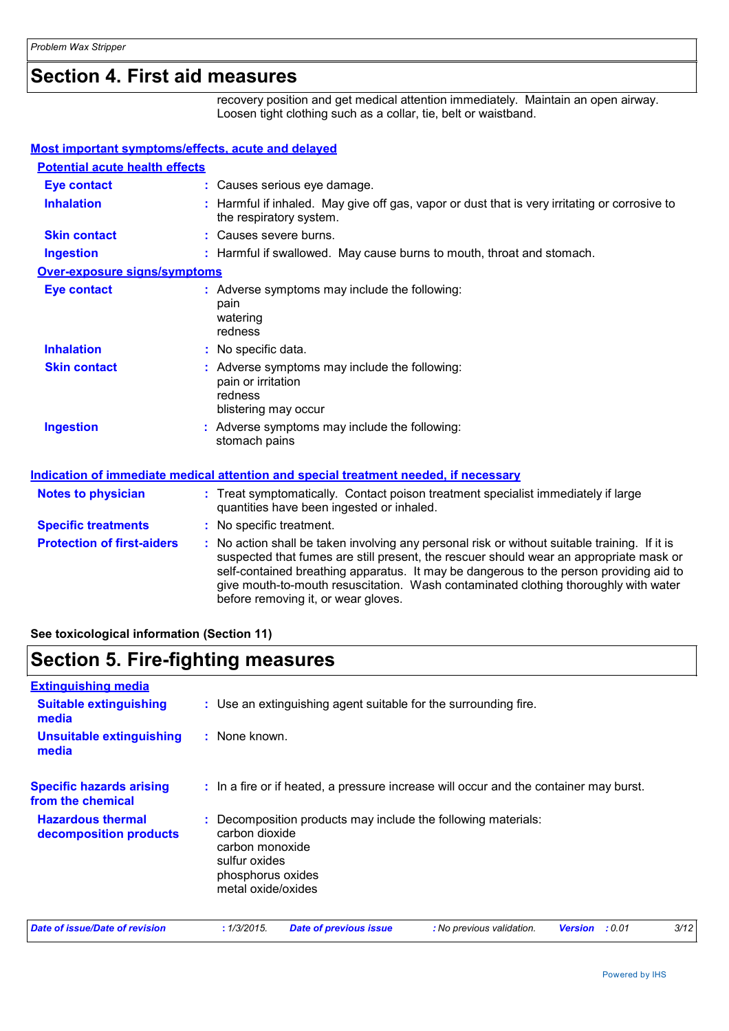## **Section 4. First aid measures**

recovery position and get medical attention immediately. Maintain an open airway. Loosen tight clothing such as a collar, tie, belt or waistband.

| <b>Most important symptoms/effects, acute and delayed</b> |                                                                                                                                                                                                                                                                                                                                                                                                                 |
|-----------------------------------------------------------|-----------------------------------------------------------------------------------------------------------------------------------------------------------------------------------------------------------------------------------------------------------------------------------------------------------------------------------------------------------------------------------------------------------------|
| <b>Potential acute health effects</b>                     |                                                                                                                                                                                                                                                                                                                                                                                                                 |
| <b>Eye contact</b>                                        | : Causes serious eye damage.                                                                                                                                                                                                                                                                                                                                                                                    |
| <b>Inhalation</b>                                         | : Harmful if inhaled. May give off gas, vapor or dust that is very irritating or corrosive to<br>the respiratory system.                                                                                                                                                                                                                                                                                        |
| <b>Skin contact</b>                                       | : Causes severe burns.                                                                                                                                                                                                                                                                                                                                                                                          |
| <b>Ingestion</b>                                          | : Harmful if swallowed. May cause burns to mouth, throat and stomach.                                                                                                                                                                                                                                                                                                                                           |
| Over-exposure signs/symptoms                              |                                                                                                                                                                                                                                                                                                                                                                                                                 |
| <b>Eye contact</b>                                        | : Adverse symptoms may include the following:<br>pain<br>watering<br>redness                                                                                                                                                                                                                                                                                                                                    |
| <b>Inhalation</b>                                         | : No specific data.                                                                                                                                                                                                                                                                                                                                                                                             |
| <b>Skin contact</b>                                       | : Adverse symptoms may include the following:<br>pain or irritation<br>redness<br>blistering may occur                                                                                                                                                                                                                                                                                                          |
| <b>Ingestion</b>                                          | : Adverse symptoms may include the following:<br>stomach pains                                                                                                                                                                                                                                                                                                                                                  |
|                                                           | <b>Indication of immediate medical attention and special treatment needed, if necessary</b>                                                                                                                                                                                                                                                                                                                     |
| <b>Notes to physician</b>                                 | : Treat symptomatically. Contact poison treatment specialist immediately if large<br>quantities have been ingested or inhaled.                                                                                                                                                                                                                                                                                  |
| <b>Specific treatments</b>                                | : No specific treatment.                                                                                                                                                                                                                                                                                                                                                                                        |
| <b>Protection of first-aiders</b>                         | : No action shall be taken involving any personal risk or without suitable training. If it is<br>suspected that fumes are still present, the rescuer should wear an appropriate mask or<br>self-contained breathing apparatus. It may be dangerous to the person providing aid to<br>give mouth-to-mouth resuscitation. Wash contaminated clothing thoroughly with water<br>before removing it, or wear gloves. |

**See toxicological information (Section 11)**

## **Section 5. Fire-fighting measures**

| <b>Extinguishing media</b>                           |                                                                                                                                                                |  |  |  |
|------------------------------------------------------|----------------------------------------------------------------------------------------------------------------------------------------------------------------|--|--|--|
| <b>Suitable extinguishing</b><br>media               | : Use an extinguishing agent suitable for the surrounding fire.                                                                                                |  |  |  |
| <b>Unsuitable extinguishing</b><br>media             | : None known.                                                                                                                                                  |  |  |  |
| <b>Specific hazards arising</b><br>from the chemical | : In a fire or if heated, a pressure increase will occur and the container may burst.                                                                          |  |  |  |
| <b>Hazardous thermal</b><br>decomposition products   | : Decomposition products may include the following materials:<br>carbon dioxide<br>carbon monoxide<br>sulfur oxides<br>phosphorus oxides<br>metal oxide/oxides |  |  |  |
| Date of issue/Date of revision                       | 3/12<br>: 1/3/2015.<br><b>Date of previous issue</b><br>: No previous validation.<br>: 0.01<br><b>Version</b>                                                  |  |  |  |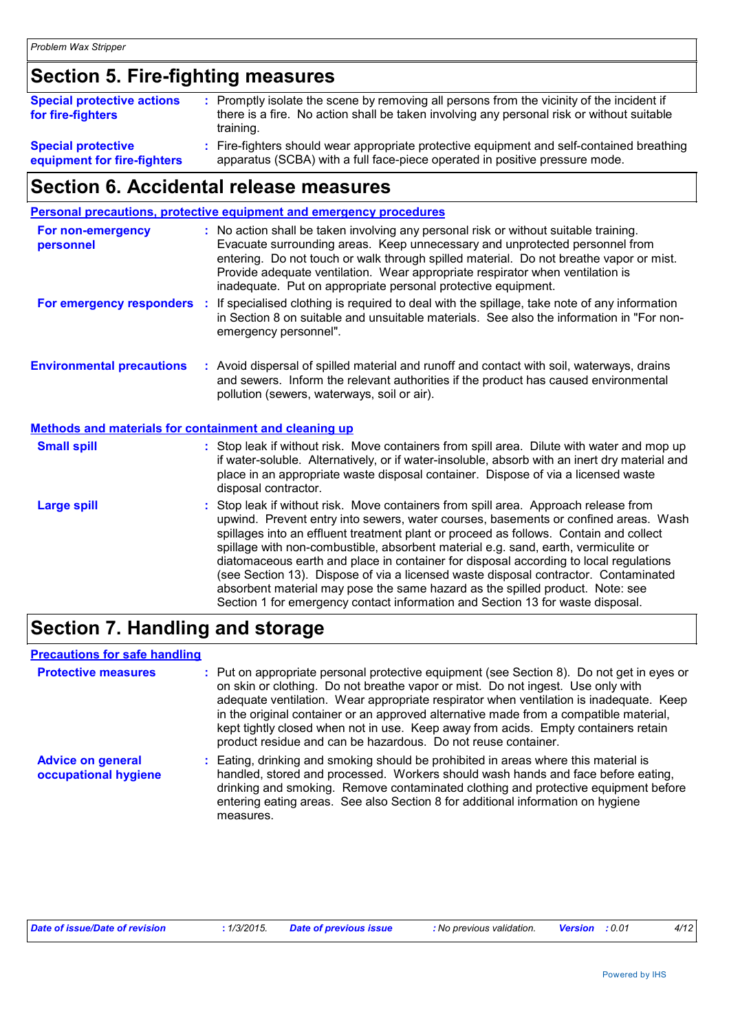## **Section 5. Fire-fighting measures**

| <b>Special protective actions</b> | : Promptly isolate the scene by removing all persons from the vicinity of the incident if |
|-----------------------------------|-------------------------------------------------------------------------------------------|
| for fire-fighters                 | there is a fire. No action shall be taken involving any personal risk or without suitable |
|                                   | training.                                                                                 |
| <b>Special protective</b>         | : Fire-fighters should wear appropriate protective equipment and self-contained breathing |

**equipment for fire-fighters**

Fire-fighters should wear appropriate protective equipment and self-contained breathing apparatus (SCBA) with a full face-piece operated in positive pressure mode.

## **Section 6. Accidental release measures**

|                                                              | Personal precautions, protective equipment and emergency procedures                                                                                                                                                                                                                                                                                                                                                                                                                                                                                                                                                                                                                                          |
|--------------------------------------------------------------|--------------------------------------------------------------------------------------------------------------------------------------------------------------------------------------------------------------------------------------------------------------------------------------------------------------------------------------------------------------------------------------------------------------------------------------------------------------------------------------------------------------------------------------------------------------------------------------------------------------------------------------------------------------------------------------------------------------|
| For non-emergency<br>personnel                               | : No action shall be taken involving any personal risk or without suitable training.<br>Evacuate surrounding areas. Keep unnecessary and unprotected personnel from<br>entering. Do not touch or walk through spilled material. Do not breathe vapor or mist.<br>Provide adequate ventilation. Wear appropriate respirator when ventilation is<br>inadequate. Put on appropriate personal protective equipment.                                                                                                                                                                                                                                                                                              |
| For emergency responders                                     | If specialised clothing is required to deal with the spillage, take note of any information<br>÷.<br>in Section 8 on suitable and unsuitable materials. See also the information in "For non-<br>emergency personnel".                                                                                                                                                                                                                                                                                                                                                                                                                                                                                       |
| <b>Environmental precautions</b>                             | : Avoid dispersal of spilled material and runoff and contact with soil, waterways, drains<br>and sewers. Inform the relevant authorities if the product has caused environmental<br>pollution (sewers, waterways, soil or air).                                                                                                                                                                                                                                                                                                                                                                                                                                                                              |
| <b>Methods and materials for containment and cleaning up</b> |                                                                                                                                                                                                                                                                                                                                                                                                                                                                                                                                                                                                                                                                                                              |
| <b>Small spill</b>                                           | : Stop leak if without risk. Move containers from spill area. Dilute with water and mop up<br>if water-soluble. Alternatively, or if water-insoluble, absorb with an inert dry material and<br>place in an appropriate waste disposal container. Dispose of via a licensed waste<br>disposal contractor.                                                                                                                                                                                                                                                                                                                                                                                                     |
| <b>Large spill</b>                                           | : Stop leak if without risk. Move containers from spill area. Approach release from<br>upwind. Prevent entry into sewers, water courses, basements or confined areas. Wash<br>spillages into an effluent treatment plant or proceed as follows. Contain and collect<br>spillage with non-combustible, absorbent material e.g. sand, earth, vermiculite or<br>diatomaceous earth and place in container for disposal according to local regulations<br>(see Section 13). Dispose of via a licensed waste disposal contractor. Contaminated<br>absorbent material may pose the same hazard as the spilled product. Note: see<br>Section 1 for emergency contact information and Section 13 for waste disposal. |
|                                                              |                                                                                                                                                                                                                                                                                                                                                                                                                                                                                                                                                                                                                                                                                                              |

## **Section 7. Handling and storage**

#### **Precautions for safe handling**

| <b>Protective measures</b>                       | : Put on appropriate personal protective equipment (see Section 8). Do not get in eyes or<br>on skin or clothing. Do not breathe vapor or mist. Do not ingest. Use only with<br>adequate ventilation. Wear appropriate respirator when ventilation is inadequate. Keep<br>in the original container or an approved alternative made from a compatible material,<br>kept tightly closed when not in use. Keep away from acids. Empty containers retain<br>product residue and can be hazardous. Do not reuse container. |
|--------------------------------------------------|------------------------------------------------------------------------------------------------------------------------------------------------------------------------------------------------------------------------------------------------------------------------------------------------------------------------------------------------------------------------------------------------------------------------------------------------------------------------------------------------------------------------|
| <b>Advice on general</b><br>occupational hygiene | : Eating, drinking and smoking should be prohibited in areas where this material is<br>handled, stored and processed. Workers should wash hands and face before eating,<br>drinking and smoking. Remove contaminated clothing and protective equipment before<br>entering eating areas. See also Section 8 for additional information on hygiene<br>measures.                                                                                                                                                          |

| Date of issue/Date of revision | · 1/3/2015. | <b>Date of previous issue</b> | <b>:</b> No previous validation. | <b>Version</b> : 0.01 |  | 4/12 |
|--------------------------------|-------------|-------------------------------|----------------------------------|-----------------------|--|------|
|--------------------------------|-------------|-------------------------------|----------------------------------|-----------------------|--|------|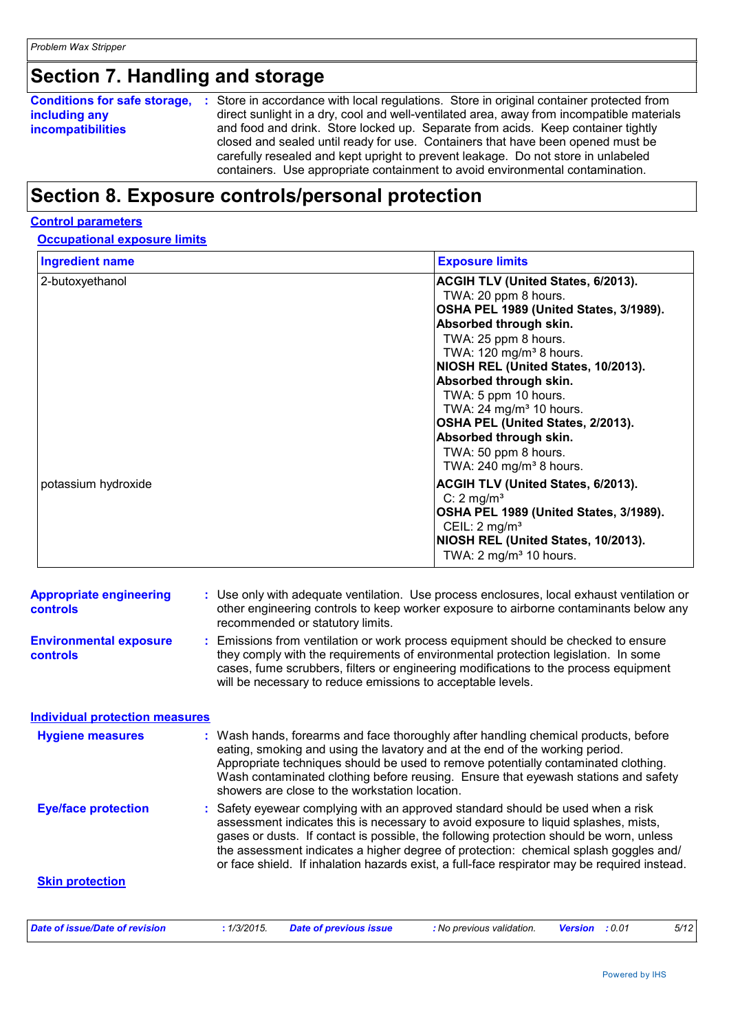## **Section 7. Handling and storage**

**Conditions for safe storage, :** Store in accordance with local regulations. Store in original container protected from **including any incompatibilities** direct sunlight in a dry, cool and well-ventilated area, away from incompatible materials and food and drink. Store locked up. Separate from acids. Keep container tightly closed and sealed until ready for use. Containers that have been opened must be carefully resealed and kept upright to prevent leakage. Do not store in unlabeled containers. Use appropriate containment to avoid environmental contamination.

## **Section 8. Exposure controls/personal protection**

#### **Control parameters**

#### **Occupational exposure limits**

| <b>Ingredient name</b> | <b>Exposure limits</b>                                                                                                                                                                                                                                                                                                                                                                                                                                       |
|------------------------|--------------------------------------------------------------------------------------------------------------------------------------------------------------------------------------------------------------------------------------------------------------------------------------------------------------------------------------------------------------------------------------------------------------------------------------------------------------|
| 2-butoxyethanol        | ACGIH TLV (United States, 6/2013).<br>TWA: 20 ppm 8 hours.<br>OSHA PEL 1989 (United States, 3/1989).<br>Absorbed through skin.<br>TWA: 25 ppm 8 hours.<br>TWA: 120 mg/m <sup>3</sup> 8 hours.<br>NIOSH REL (United States, 10/2013).<br>Absorbed through skin.<br>TWA: 5 ppm 10 hours.<br>TWA: $24 \text{ mg/m}^3$ 10 hours.<br>OSHA PEL (United States, 2/2013).<br>Absorbed through skin.<br>TWA: 50 ppm 8 hours.<br>TWA: $240$ mg/m <sup>3</sup> 8 hours. |
| potassium hydroxide    | <b>ACGIH TLV (United States, 6/2013).</b><br>C: $2 \text{ mg/m}^3$<br>OSHA PEL 1989 (United States, 3/1989).<br>CEIL: $2 \text{ mg/m}^3$<br>NIOSH REL (United States, 10/2013).<br>TWA: $2 \text{ mg/m}^3$ 10 hours.                                                                                                                                                                                                                                         |

| <b>Appropriate engineering</b><br><b>controls</b> | : Use only with adequate ventilation. Use process enclosures, local exhaust ventilation or<br>other engineering controls to keep worker exposure to airborne contaminants below any<br>recommended or statutory limits.                                                                                                                                                                                                                                 |  |  |
|---------------------------------------------------|---------------------------------------------------------------------------------------------------------------------------------------------------------------------------------------------------------------------------------------------------------------------------------------------------------------------------------------------------------------------------------------------------------------------------------------------------------|--|--|
| <b>Environmental exposure</b><br><b>controls</b>  | Emissions from ventilation or work process equipment should be checked to ensure<br>they comply with the requirements of environmental protection legislation. In some<br>cases, fume scrubbers, filters or engineering modifications to the process equipment<br>will be necessary to reduce emissions to acceptable levels.                                                                                                                           |  |  |
| <b>Individual protection measures</b>             |                                                                                                                                                                                                                                                                                                                                                                                                                                                         |  |  |
| <b>Hygiene measures</b>                           | : Wash hands, forearms and face thoroughly after handling chemical products, before<br>eating, smoking and using the lavatory and at the end of the working period.<br>Appropriate techniques should be used to remove potentially contaminated clothing.<br>Wash contaminated clothing before reusing. Ensure that eyewash stations and safety<br>showers are close to the workstation location.                                                       |  |  |
| <b>Eye/face protection</b>                        | Safety eyewear complying with an approved standard should be used when a risk<br>assessment indicates this is necessary to avoid exposure to liquid splashes, mists,<br>gases or dusts. If contact is possible, the following protection should be worn, unless<br>the assessment indicates a higher degree of protection: chemical splash goggles and/<br>or face shield. If inhalation hazards exist, a full-face respirator may be required instead. |  |  |
| <b>Skin protection</b>                            |                                                                                                                                                                                                                                                                                                                                                                                                                                                         |  |  |
| <b>Date of issue/Date of revision</b>             | : 1/3/2015.<br><b>Date of previous issue</b><br>: No previous validation.<br>5/12<br><b>Version</b> : 0.01                                                                                                                                                                                                                                                                                                                                              |  |  |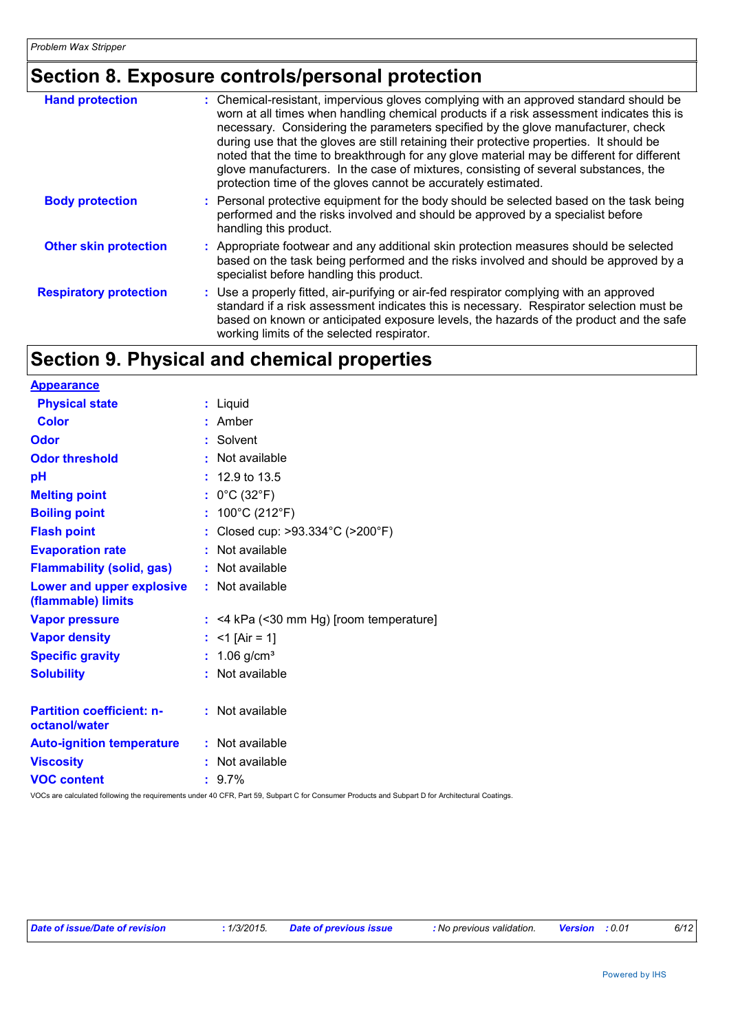## **Section 8. Exposure controls/personal protection**

| <b>Hand protection</b>        | : Chemical-resistant, impervious gloves complying with an approved standard should be<br>worn at all times when handling chemical products if a risk assessment indicates this is<br>necessary. Considering the parameters specified by the glove manufacturer, check<br>during use that the gloves are still retaining their protective properties. It should be<br>noted that the time to breakthrough for any glove material may be different for different<br>glove manufacturers. In the case of mixtures, consisting of several substances, the<br>protection time of the gloves cannot be accurately estimated. |
|-------------------------------|------------------------------------------------------------------------------------------------------------------------------------------------------------------------------------------------------------------------------------------------------------------------------------------------------------------------------------------------------------------------------------------------------------------------------------------------------------------------------------------------------------------------------------------------------------------------------------------------------------------------|
| <b>Body protection</b>        | : Personal protective equipment for the body should be selected based on the task being<br>performed and the risks involved and should be approved by a specialist before<br>handling this product.                                                                                                                                                                                                                                                                                                                                                                                                                    |
| <b>Other skin protection</b>  | : Appropriate footwear and any additional skin protection measures should be selected<br>based on the task being performed and the risks involved and should be approved by a<br>specialist before handling this product.                                                                                                                                                                                                                                                                                                                                                                                              |
| <b>Respiratory protection</b> | : Use a properly fitted, air-purifying or air-fed respirator complying with an approved<br>standard if a risk assessment indicates this is necessary. Respirator selection must be<br>based on known or anticipated exposure levels, the hazards of the product and the safe<br>working limits of the selected respirator.                                                                                                                                                                                                                                                                                             |

## **Section 9. Physical and chemical properties**

| <b>Appearance</b>                                 |    |                                           |
|---------------------------------------------------|----|-------------------------------------------|
| <b>Physical state</b>                             |    | : Liquid                                  |
| <b>Color</b>                                      |    | Amber                                     |
| <b>Odor</b>                                       |    | Solvent                                   |
| <b>Odor threshold</b>                             |    | $\cdot$ Not available                     |
| pH                                                |    | $: 12.9 \text{ to } 13.5$                 |
| <b>Melting point</b>                              |    | : $0^{\circ}$ C (32 $^{\circ}$ F)         |
| <b>Boiling point</b>                              | ÷. | 100°C (212°F)                             |
| <b>Flash point</b>                                |    | Closed cup: >93.334°C (>200°F)            |
| <b>Evaporation rate</b>                           |    | Not available                             |
| <b>Flammability (solid, gas)</b>                  |    | : Not available                           |
| Lower and upper explosive<br>(flammable) limits   |    | : Not available                           |
| <b>Vapor pressure</b>                             |    | $:$ <4 kPa (<30 mm Hg) [room temperature] |
| <b>Vapor density</b>                              |    | : <1 [Air = 1]                            |
| <b>Specific gravity</b>                           |    | : $1.06$ g/cm <sup>3</sup>                |
| <b>Solubility</b>                                 |    | Not available                             |
| <b>Partition coefficient: n-</b><br>octanol/water |    | : Not available                           |
| <b>Auto-ignition temperature</b>                  |    | : Not available                           |
| <b>Viscosity</b>                                  |    | Not available                             |
| <b>VOC content</b>                                |    | $: 9.7\%$                                 |

VOCs are calculated following the requirements under 40 CFR, Part 59, Subpart C for Consumer Products and Subpart D for Architectural Coatings.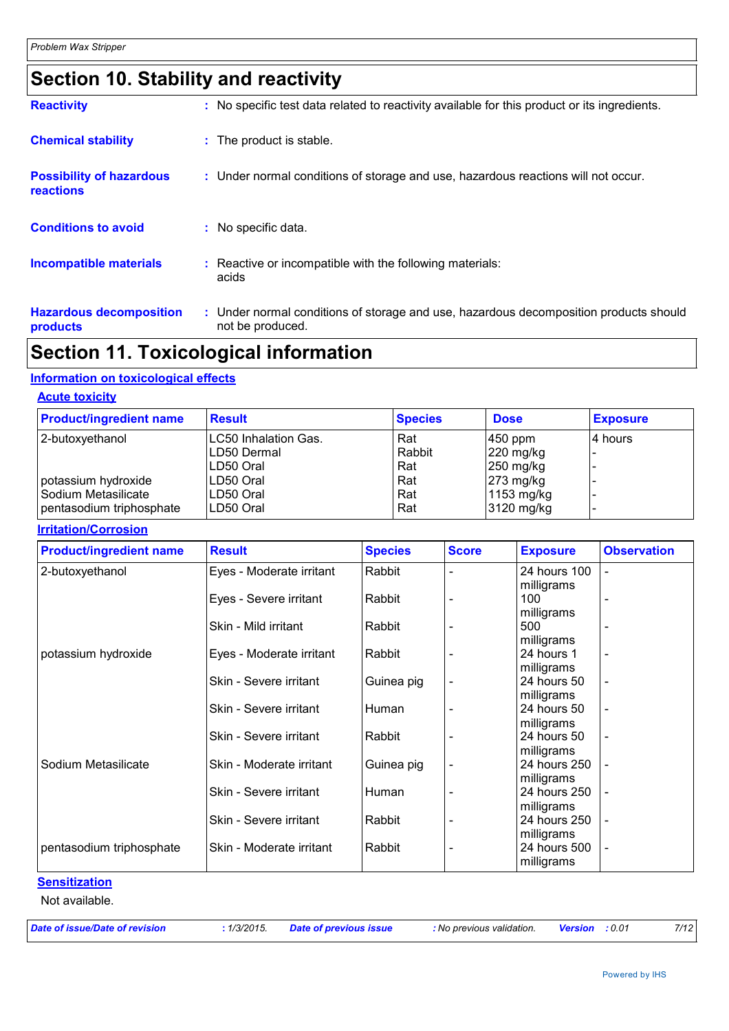## **Section 10. Stability and reactivity**

| <b>Reactivity</b>                            | : No specific test data related to reactivity available for this product or its ingredients.              |
|----------------------------------------------|-----------------------------------------------------------------------------------------------------------|
| <b>Chemical stability</b>                    | : The product is stable.                                                                                  |
| <b>Possibility of hazardous</b><br>reactions | : Under normal conditions of storage and use, hazardous reactions will not occur.                         |
| <b>Conditions to avoid</b>                   | : No specific data.                                                                                       |
| <b>Incompatible materials</b>                | Reactive or incompatible with the following materials:<br>acids                                           |
| <b>Hazardous decomposition</b><br>products   | : Under normal conditions of storage and use, hazardous decomposition products should<br>not be produced. |

## **Section 11. Toxicological information**

#### **Information on toxicological effects**

#### **Acute toxicity**

| <b>Product/ingredient name</b> | <b>Result</b>        | <b>Species</b> | <b>Dose</b>           | <b>Exposure</b> |
|--------------------------------|----------------------|----------------|-----------------------|-----------------|
| 2-butoxyethanol                | LC50 Inhalation Gas. | Rat            | 450 ppm               | 14 hours        |
|                                | LD50 Dermal          | Rabbit         | $ 220 \text{ mg/kg} $ |                 |
|                                | LD50 Oral            | Rat            | $250$ mg/kg           |                 |
| potassium hydroxide            | LD50 Oral            | Rat            | $273$ mg/kg           |                 |
| Sodium Metasilicate            | LD50 Oral            | Rat            | 1153 mg/kg            |                 |
| pentasodium triphosphate       | LD50 Oral            | Rat            | $3120$ mg/kg          |                 |

#### **Irritation/Corrosion**

| <b>Product/ingredient name</b> | <b>Result</b>            | <b>Species</b> | <b>Score</b>             | <b>Exposure</b>           | <b>Observation</b>       |
|--------------------------------|--------------------------|----------------|--------------------------|---------------------------|--------------------------|
| 2-butoxyethanol                | Eyes - Moderate irritant | Rabbit         |                          | 24 hours 100              |                          |
|                                |                          |                |                          | milligrams                |                          |
|                                | Eyes - Severe irritant   | Rabbit         |                          | 100                       |                          |
|                                |                          |                |                          | milligrams                |                          |
|                                | Skin - Mild irritant     | Rabbit         |                          | 500                       |                          |
|                                |                          |                |                          | milligrams                |                          |
| potassium hydroxide            | Eyes - Moderate irritant | Rabbit         |                          | 24 hours 1                |                          |
|                                |                          |                |                          | milligrams                |                          |
|                                | Skin - Severe irritant   | Guinea pig     |                          | 24 hours 50               |                          |
|                                | Skin - Severe irritant   | Human          |                          | milligrams<br>24 hours 50 |                          |
|                                |                          |                |                          | milligrams                |                          |
|                                | Skin - Severe irritant   | Rabbit         |                          | 24 hours 50               |                          |
|                                |                          |                |                          | milligrams                |                          |
| Sodium Metasilicate            | Skin - Moderate irritant | Guinea pig     |                          | 24 hours 250              |                          |
|                                |                          |                |                          | milligrams                |                          |
|                                | Skin - Severe irritant   | Human          |                          | 24 hours 250              |                          |
|                                |                          |                |                          | milligrams                |                          |
|                                | Skin - Severe irritant   | Rabbit         | $\overline{\phantom{0}}$ | 24 hours 250              | $\overline{\phantom{a}}$ |
|                                |                          |                |                          | milligrams                |                          |
| pentasodium triphosphate       | Skin - Moderate irritant | Rabbit         |                          | 24 hours 500              | $\blacksquare$           |
|                                |                          |                |                          | milligrams                |                          |

#### **Sensitization**

Not available.

*Date of issue/Date of revision* **:** *1/3/2015. Date of previous issue : No previous validation. Version : 0.01 7/12*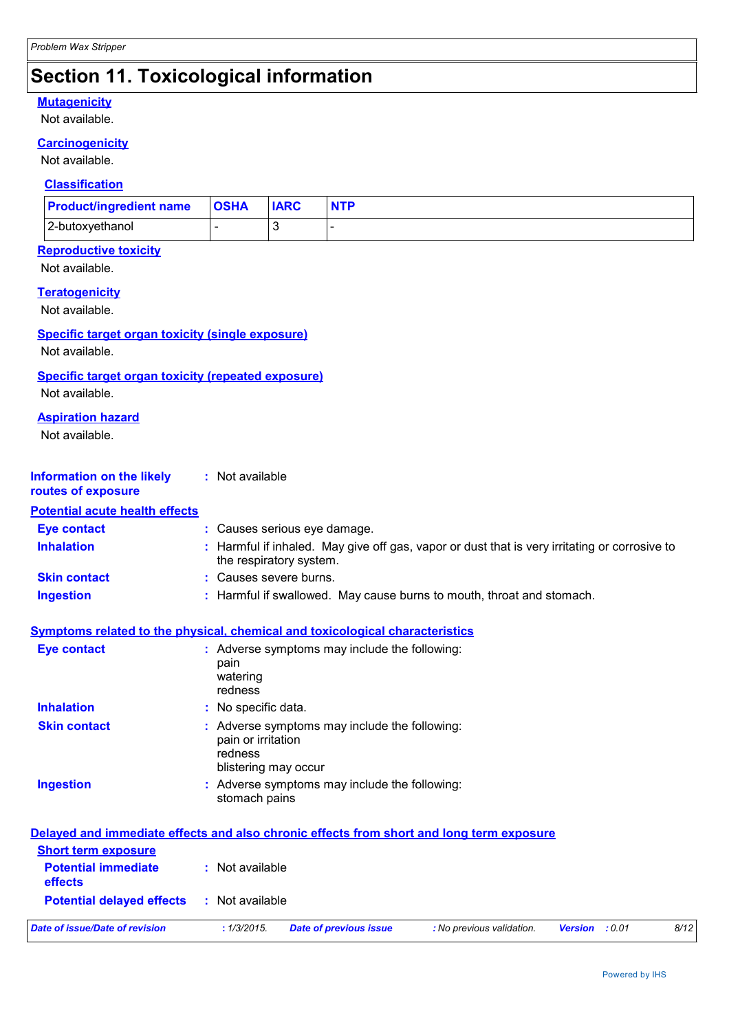## **Section 11. Toxicological information**

#### **Mutagenicity**

Not available.

#### **Carcinogenicity**

Not available.

#### **Classification**

| <b>Product/ingredient name   OSHA</b> | <b>IARC</b> | <b>NTP</b> |
|---------------------------------------|-------------|------------|
| 2-butoxyethanol                       |             |            |

#### **Reproductive toxicity**

Not available.

#### **Teratogenicity**

Not available.

#### **Specific target organ toxicity (single exposure)**

Not available.

#### **Specific target organ toxicity (repeated exposure)**

Not available.

#### **Aspiration hazard**

Not available.

| <b>Information on the likely</b> | : Not available |
|----------------------------------|-----------------|
|                                  |                 |

## **routes of exposure**

| <b>Potential acute health effects</b> |                                                                                                                          |
|---------------------------------------|--------------------------------------------------------------------------------------------------------------------------|
| <b>Eve contact</b>                    | : Causes serious eye damage.                                                                                             |
| <b>Inhalation</b>                     | : Harmful if inhaled. May give off gas, vapor or dust that is very irritating or corrosive to<br>the respiratory system. |
| <b>Skin contact</b>                   | : Causes severe burns.                                                                                                   |
| Ingestion                             | : Harmful if swallowed. May cause burns to mouth, throat and stomach.                                                    |

#### **Symptoms related to the physical, chemical and toxicological characteristics**

| Eye contact         | : Adverse symptoms may include the following:<br>pain<br>watering<br>redness                           |
|---------------------|--------------------------------------------------------------------------------------------------------|
| <b>Inhalation</b>   | : No specific data.                                                                                    |
| <b>Skin contact</b> | : Adverse symptoms may include the following:<br>pain or irritation<br>redness<br>blistering may occur |
| <b>Ingestion</b>    | : Adverse symptoms may include the following:<br>stomach pains                                         |

#### **Delayed and immediate effects and also chronic effects from short and long term exposure Short term exposure**

| Date of issue/Date of revision               | : 1/3/2015.     | Date of previous issue | : No previous validation. | <b>Version</b> : 0.01 | 8/12 |
|----------------------------------------------|-----------------|------------------------|---------------------------|-----------------------|------|
| <b>Potential delayed effects</b>             | : Not available |                        |                           |                       |      |
| <b>Potential immediate</b><br><b>effects</b> | : Not available |                        |                           |                       |      |
| <u>SHORT LEFTH EXPOSURE</u>                  |                 |                        |                           |                       |      |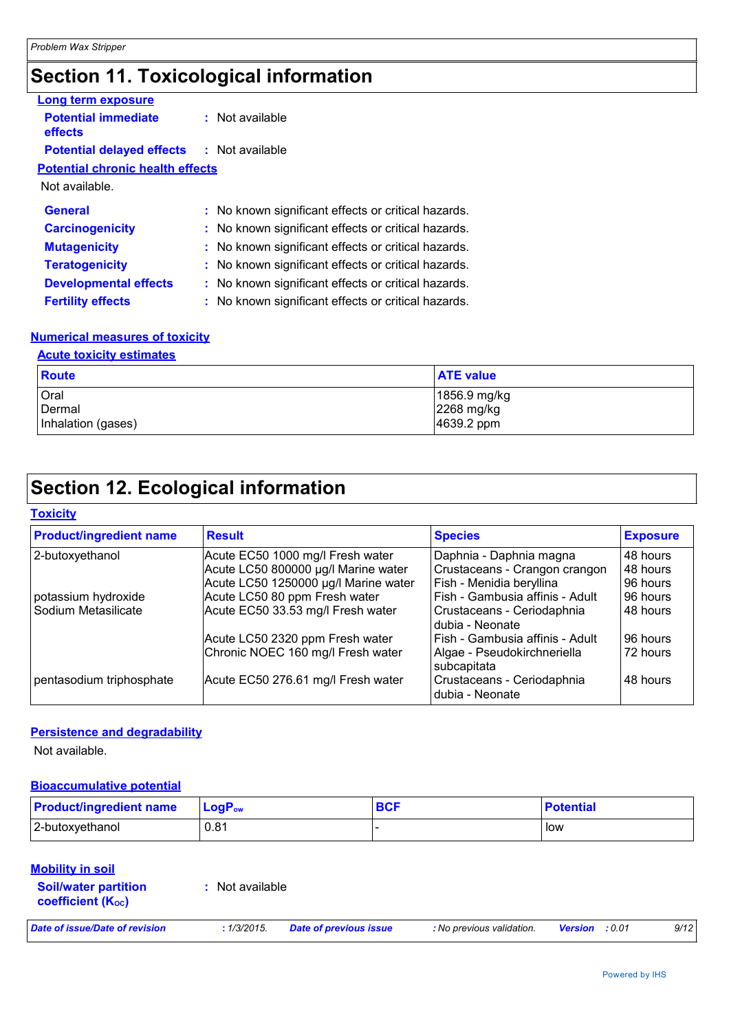## **Section 11. Toxicological information**

| Long term exposure                               |                                                     |
|--------------------------------------------------|-----------------------------------------------------|
| <b>Potential immediate</b><br>effects            | : Not available                                     |
| <b>Potential delayed effects : Not available</b> |                                                     |
| <b>Potential chronic health effects</b>          |                                                     |
| Not available.                                   |                                                     |
| <b>General</b>                                   | : No known significant effects or critical hazards. |
| <b>Carcinogenicity</b>                           | : No known significant effects or critical hazards. |
| <b>Mutagenicity</b>                              | : No known significant effects or critical hazards. |
| <b>Teratogenicity</b>                            | : No known significant effects or critical hazards. |
| <b>Developmental effects</b>                     | : No known significant effects or critical hazards. |
| <b>Fertility effects</b>                         | : No known significant effects or critical hazards. |
|                                                  |                                                     |

#### **Numerical measures of toxicity**

#### **Acute toxicity estimates**

| <b>Route</b>       | <b>ATE value</b> |
|--------------------|------------------|
| Oral               | 1856.9 mg/kg     |
| Dermal             | 2268 mg/kg       |
| Inhalation (gases) | 4639.2 ppm       |

## **Section 12. Ecological information**

**Toxicity**

| <b>Product/ingredient name</b> | <b>Result</b>                        | <b>Species</b>                                | <b>Exposure</b> |
|--------------------------------|--------------------------------------|-----------------------------------------------|-----------------|
| 2-butoxyethanol                | Acute EC50 1000 mg/l Fresh water     | Daphnia - Daphnia magna                       | 48 hours        |
|                                | Acute LC50 800000 µg/l Marine water  | Crustaceans - Crangon crangon                 | 48 hours        |
|                                | Acute LC50 1250000 µg/l Marine water | Fish - Menidia beryllina                      | 96 hours        |
| potassium hydroxide            | Acute LC50 80 ppm Fresh water        | Fish - Gambusia affinis - Adult               | 96 hours        |
| Sodium Metasilicate            | Acute EC50 33.53 mg/l Fresh water    | Crustaceans - Ceriodaphnia<br>dubia - Neonate | 48 hours        |
|                                | Acute LC50 2320 ppm Fresh water      | Fish - Gambusia affinis - Adult               | 96 hours        |
|                                | Chronic NOEC 160 mg/l Fresh water    | Algae - Pseudokirchneriella<br>subcapitata    | 72 hours        |
| pentasodium triphosphate       | Acute EC50 276.61 mg/l Fresh water   | Crustaceans - Ceriodaphnia<br>dubia - Neonate | 48 hours        |

#### **Persistence and degradability**

Not available.

#### **Bioaccumulative potential**

| <b>Product/ingredient name</b> | <b>LogP</b> <sub>ow</sub> | <b>BCF</b> | <b>Potential</b> |
|--------------------------------|---------------------------|------------|------------------|
| 2-butoxyethanol                | 0.81                      |            | low              |

#### **Mobility in soil**

| <b>Soil/water partition</b>    | : Not available |
|--------------------------------|-----------------|
| coefficient (K <sub>oc</sub> ) |                 |

| Date of issue/Date of revision |  |  |  |  |
|--------------------------------|--|--|--|--|
|                                |  |  |  |  |

*Date of issue/Date of revision* **:** *1/3/2015. Date of previous issue : No previous validation. Version : 0.01 9/12*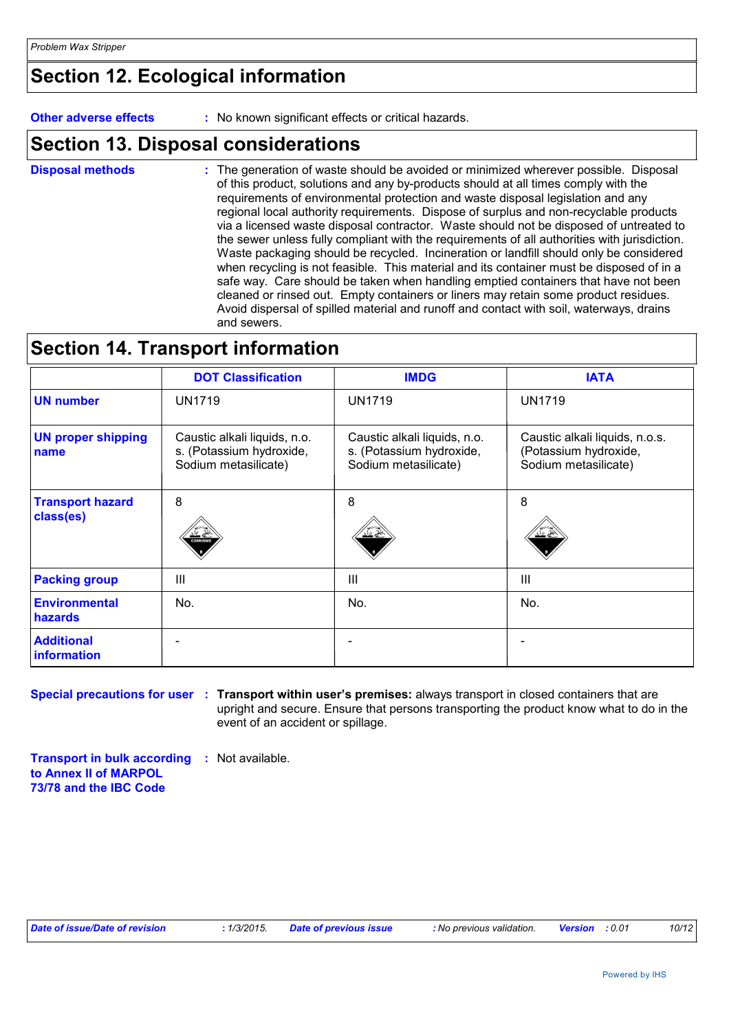## **Section 12. Ecological information**

**Other adverse effects :** No known significant effects or critical hazards.

### **Section 13. Disposal considerations**

The generation of waste should be avoided or minimized wherever possible. Disposal of this product, solutions and any by-products should at all times comply with the requirements of environmental protection and waste disposal legislation and any regional local authority requirements. Dispose of surplus and non-recyclable products via a licensed waste disposal contractor. Waste should not be disposed of untreated to the sewer unless fully compliant with the requirements of all authorities with jurisdiction. Waste packaging should be recycled. Incineration or landfill should only be considered when recycling is not feasible. This material and its container must be disposed of in a safe way. Care should be taken when handling emptied containers that have not been cleaned or rinsed out. Empty containers or liners may retain some product residues. Avoid dispersal of spilled material and runoff and contact with soil, waterways, drains and sewers. **Disposal methods :**

### **Section 14. Transport information**

|                                      | <b>DOT Classification</b>                                                        | <b>IMDG</b>                                                                      | <b>IATA</b>                                                                     |
|--------------------------------------|----------------------------------------------------------------------------------|----------------------------------------------------------------------------------|---------------------------------------------------------------------------------|
| <b>UN number</b>                     | <b>UN1719</b>                                                                    | <b>UN1719</b>                                                                    | <b>UN1719</b>                                                                   |
| <b>UN proper shipping</b><br>name    | Caustic alkali liquids, n.o.<br>s. (Potassium hydroxide,<br>Sodium metasilicate) | Caustic alkali liquids, n.o.<br>s. (Potassium hydroxide,<br>Sodium metasilicate) | Caustic alkali liquids, n.o.s.<br>(Potassium hydroxide,<br>Sodium metasilicate) |
| <b>Transport hazard</b><br>class(es) | 8<br><b>CORROSV</b>                                                              | 8                                                                                | 8                                                                               |
| <b>Packing group</b>                 | III                                                                              | $\mathbf{III}$                                                                   | III                                                                             |
| <b>Environmental</b><br>hazards      | No.                                                                              | No.                                                                              | No.                                                                             |
| <b>Additional</b><br>information     |                                                                                  |                                                                                  |                                                                                 |

**Special precautions for user : Transport within user's premises: always transport in closed containers that are** upright and secure. Ensure that persons transporting the product know what to do in the event of an accident or spillage.

**Transport in bulk according :** Not available. **to Annex II of MARPOL 73/78 and the IBC Code**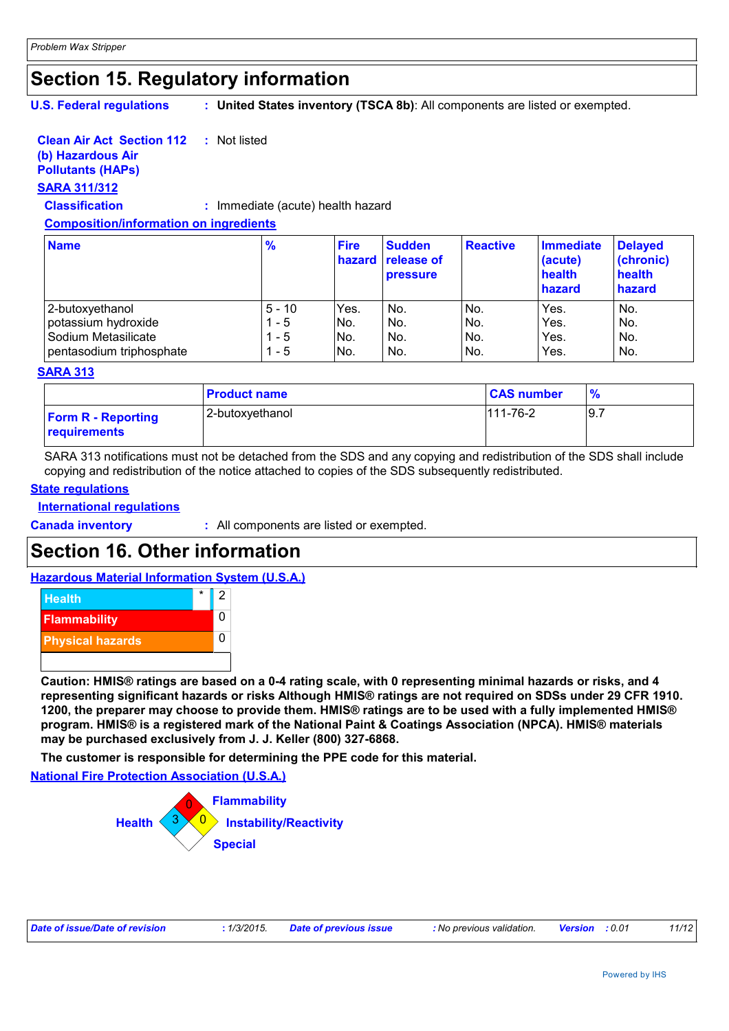## **Section 15. Regulatory information**

**U.S. Federal regulations :**

**United States inventory (TSCA 8b)**: All components are listed or exempted.

#### **Clean Air Act Section 112 :** Not listed

#### **(b) Hazardous Air**

### **Pollutants (HAPs)**

### **SARA 311/312**

**Classification :** Immediate (acute) health hazard

#### **Composition/information on ingredients**

| <b>Name</b>              | $\frac{9}{6}$ | <b>Fire</b><br>hazard | <b>Sudden</b><br>release of<br><b>pressure</b> | <b>Reactive</b> | <b>Immediate</b><br>(acute)<br>health<br>hazard | <b>Delayed</b><br>(chronic)<br>health<br>hazard |
|--------------------------|---------------|-----------------------|------------------------------------------------|-----------------|-------------------------------------------------|-------------------------------------------------|
| 2-butoxyethanol          | $5 - 10$      | Yes.                  | No.                                            | No.             | Yes.                                            | No.                                             |
| potassium hydroxide      | - 5           | INo.                  | No.                                            | No.             | Yes.                                            | No.                                             |
| Sodium Metasilicate      | - 5           | No.                   | No.                                            | No.             | Yes.                                            | No.                                             |
| pentasodium triphosphate | - 5           | INo.                  | No.                                            | No.             | Yes.                                            | No.                                             |

#### **SARA 313**

|                                           | <b>Product name</b> | <b>CAS number</b> | $\frac{9}{6}$ |
|-------------------------------------------|---------------------|-------------------|---------------|
| <b>Form R - Reporting</b><br>requirements | 2-butoxyethanol     | $111 - 76 - 2$    | 19.7          |

SARA 313 notifications must not be detached from the SDS and any copying and redistribution of the SDS shall include copying and redistribution of the notice attached to copies of the SDS subsequently redistributed.

#### **State regulations**

**International regulations**

**Canada inventory :** All components are listed or exempted.

## **Section 16. Other information**

#### **Hazardous Material Information System (U.S.A.)**



**Caution: HMIS® ratings are based on a 0-4 rating scale, with 0 representing minimal hazards or risks, and 4 representing significant hazards or risks Although HMIS® ratings are not required on SDSs under 29 CFR 1910. 1200, the preparer may choose to provide them. HMIS® ratings are to be used with a fully implemented HMIS® program. HMIS® is a registered mark of the National Paint & Coatings Association (NPCA). HMIS® materials may be purchased exclusively from J. J. Keller (800) 327-6868.**

**The customer is responsible for determining the PPE code for this material.**

**National Fire Protection Association (U.S.A.)**